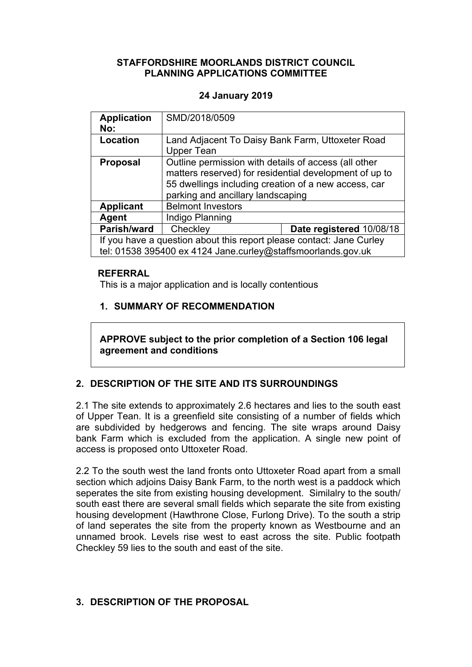### **STAFFORDSHIRE MOORLANDS DISTRICT COUNCIL PLANNING APPLICATIONS COMMITTEE**

### **24 January 2019**

| <b>Application</b><br>No:                                                                                                            | SMD/2018/0509                                                                                                                                                                                               |                          |
|--------------------------------------------------------------------------------------------------------------------------------------|-------------------------------------------------------------------------------------------------------------------------------------------------------------------------------------------------------------|--------------------------|
| Location                                                                                                                             | Land Adjacent To Daisy Bank Farm, Uttoxeter Road<br>Upper Tean                                                                                                                                              |                          |
| <b>Proposal</b>                                                                                                                      | Outline permission with details of access (all other<br>matters reserved) for residential development of up to<br>55 dwellings including creation of a new access, car<br>parking and ancillary landscaping |                          |
| <b>Applicant</b>                                                                                                                     | <b>Belmont Investors</b>                                                                                                                                                                                    |                          |
| Agent                                                                                                                                | Indigo Planning                                                                                                                                                                                             |                          |
| Parish/ward                                                                                                                          | Checkley                                                                                                                                                                                                    | Date registered 10/08/18 |
| If you have a question about this report please contact: Jane Curley<br>tel: 01538 395400 ex 4124 Jane.curley@staffsmoorlands.gov.uk |                                                                                                                                                                                                             |                          |

### **REFERRAL**

This is a major application and is locally contentious

## **1. SUMMARY OF RECOMMENDATION**

**APPROVE subject to the prior completion of a Section 106 legal agreement and conditions**

# **2. DESCRIPTION OF THE SITE AND ITS SURROUNDINGS**

2.1 The site extends to approximately 2.6 hectares and lies to the south east of Upper Tean. It is a greenfield site consisting of a number of fields which are subdivided by hedgerows and fencing. The site wraps around Daisy bank Farm which is excluded from the application. A single new point of access is proposed onto Uttoxeter Road.

2.2 To the south west the land fronts onto Uttoxeter Road apart from a small section which adjoins Daisy Bank Farm, to the north west is a paddock which seperates the site from existing housing development. Similalry to the south/ south east there are several small fields which separate the site from existing housing development (Hawthrone Close, Furlong Drive). To the south a strip of land seperates the site from the property known as Westbourne and an unnamed brook. Levels rise west to east across the site. Public footpath Checkley 59 lies to the south and east of the site.

# **3. DESCRIPTION OF THE PROPOSAL**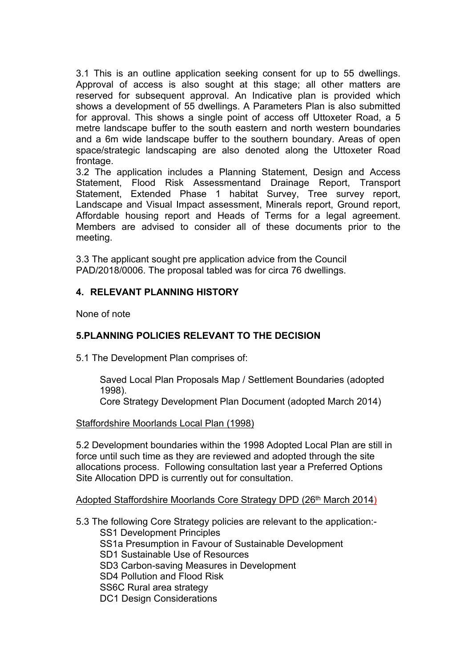3.1 This is an outline application seeking consent for up to 55 dwellings. Approval of access is also sought at this stage; all other matters are reserved for subsequent approval. An Indicative plan is provided which shows a development of 55 dwellings. A Parameters Plan is also submitted for approval. This shows a single point of access off Uttoxeter Road, a 5 metre landscape buffer to the south eastern and north western boundaries and a 6m wide landscape buffer to the southern boundary. Areas of open space/strategic landscaping are also denoted along the Uttoxeter Road frontage.

3.2 The application includes a Planning Statement, Design and Access Statement, Flood Risk Assessmentand Drainage Report, Transport Statement, Extended Phase 1 habitat Survey, Tree survey report, Landscape and Visual Impact assessment, Minerals report, Ground report, Affordable housing report and Heads of Terms for a legal agreement. Members are advised to consider all of these documents prior to the meeting.

3.3 The applicant sought pre application advice from the Council PAD/2018/0006. The proposal tabled was for circa 76 dwellings.

### **4. RELEVANT PLANNING HISTORY**

None of note

## **5.PLANNING POLICIES RELEVANT TO THE DECISION**

5.1 The Development Plan comprises of:

Saved Local Plan Proposals Map / Settlement Boundaries (adopted 1998).

Core Strategy Development Plan Document (adopted March 2014)

#### Staffordshire Moorlands Local Plan (1998)

5.2 Development boundaries within the 1998 Adopted Local Plan are still in force until such time as they are reviewed and adopted through the site allocations process. Following consultation last year a Preferred Options Site Allocation DPD is currently out for consultation.

Adopted Staffordshire Moorlands Core Strategy DPD (26th March 2014)

5.3 The following Core Strategy policies are relevant to the application:- SS1 Development Principles SS1a Presumption in Favour of Sustainable Development SD1 Sustainable Use of Resources SD3 Carbon-saving Measures in Development SD4 Pollution and Flood Risk SS6C Rural area strategy DC1 Design Considerations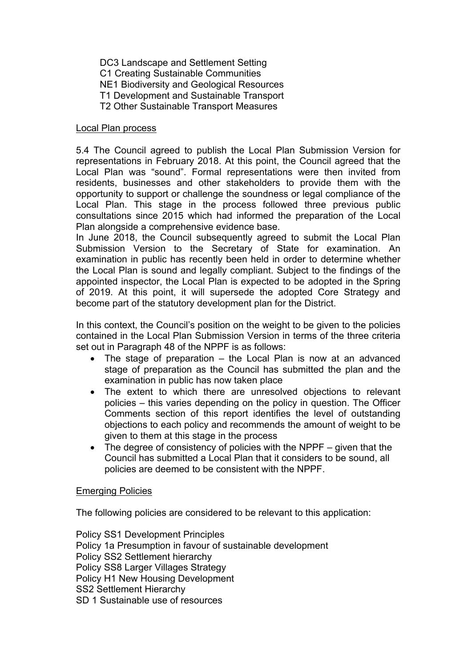DC3 Landscape and Settlement Setting C1 Creating Sustainable Communities NE1 Biodiversity and Geological Resources T1 Development and Sustainable Transport T2 Other Sustainable Transport Measures

#### Local Plan process

5.4 The Council agreed to publish the Local Plan Submission Version for representations in February 2018. At this point, the Council agreed that the Local Plan was "sound". Formal representations were then invited from residents, businesses and other stakeholders to provide them with the opportunity to support or challenge the soundness or legal compliance of the Local Plan. This stage in the process followed three previous public consultations since 2015 which had informed the preparation of the Local Plan alongside a comprehensive evidence base.

In June 2018, the Council subsequently agreed to submit the Local Plan Submission Version to the Secretary of State for examination. An examination in public has recently been held in order to determine whether the Local Plan is sound and legally compliant. Subject to the findings of the appointed inspector, the Local Plan is expected to be adopted in the Spring of 2019. At this point, it will supersede the adopted Core Strategy and become part of the statutory development plan for the District.

In this context, the Council's position on the weight to be given to the policies contained in the Local Plan Submission Version in terms of the three criteria set out in Paragraph 48 of the NPPF is as follows:

- The stage of preparation the Local Plan is now at an advanced stage of preparation as the Council has submitted the plan and the examination in public has now taken place
- The extent to which there are unresolved objections to relevant policies – this varies depending on the policy in question. The Officer Comments section of this report identifies the level of outstanding objections to each policy and recommends the amount of weight to be given to them at this stage in the process
- The degree of consistency of policies with the NPPF given that the Council has submitted a Local Plan that it considers to be sound, all policies are deemed to be consistent with the NPPF.

#### Emerging Policies

The following policies are considered to be relevant to this application:

Policy SS1 Development Principles Policy 1a Presumption in favour of sustainable development Policy SS2 Settlement hierarchy Policy SS8 Larger Villages Strategy Policy H1 New Housing Development SS2 Settlement Hierarchy SD 1 Sustainable use of resources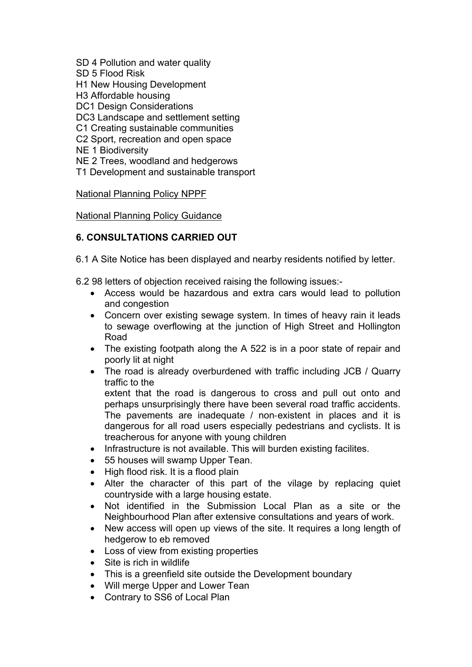- SD 4 Pollution and water quality
- SD 5 Flood Risk
- H1 New Housing Development
- H3 Affordable housing
- DC1 Design Considerations
- DC3 Landscape and settlement setting
- C1 Creating sustainable communities
- C2 Sport, recreation and open space
- NE 1 Biodiversity
- NE 2 Trees, woodland and hedgerows
- T1 Development and sustainable transport

### National Planning Policy NPPF

### National Planning Policy Guidance

## **6. CONSULTATIONS CARRIED OUT**

- 6.1 A Site Notice has been displayed and nearby residents notified by letter.
- 6.2 98 letters of objection received raising the following issues:-
	- Access would be hazardous and extra cars would lead to pollution and congestion
	- Concern over existing sewage system. In times of heavy rain it leads to sewage overflowing at the junction of High Street and Hollington Road
	- The existing footpath along the A 522 is in a poor state of repair and poorly lit at night
	- The road is already overburdened with traffic including JCB / Quarry traffic to the

extent that the road is dangerous to cross and pull out onto and perhaps unsurprisingly there have been several road traffic accidents. The pavements are inadequate / non-existent in places and it is dangerous for all road users especially pedestrians and cyclists. It is treacherous for anyone with young children

- Infrastructure is not available. This will burden existing facilites.
- 55 houses will swamp Upper Tean.
- High flood risk. It is a flood plain
- Alter the character of this part of the vilage by replacing quiet countryside with a large housing estate.
- Not identified in the Submission Local Plan as a site or the Neighbourhood Plan after extensive consultations and years of work.
- New access will open up views of the site. It requires a long length of hedgerow to eb removed
- Loss of view from existing properties
- Site is rich in wildlife
- This is a greenfield site outside the Development boundary
- Will merge Upper and Lower Tean
- Contrary to SS6 of Local Plan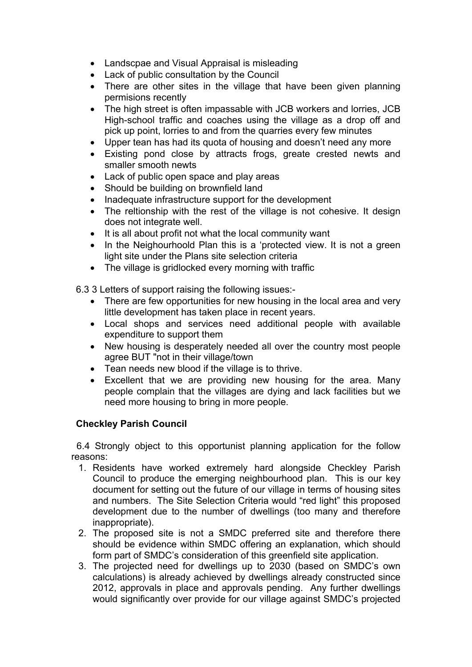- Landscpae and Visual Appraisal is misleading
- Lack of public consultation by the Council
- There are other sites in the village that have been given planning permisions recently
- The high street is often impassable with JCB workers and lorries, JCB High-school traffic and coaches using the village as a drop off and pick up point, lorries to and from the quarries every few minutes
- Upper tean has had its quota of housing and doesn't need any more
- Existing pond close by attracts frogs, greate crested newts and smaller smooth newts
- Lack of public open space and play areas
- Should be building on brownfield land
- Inadequate infrastructure support for the development
- The reltionship with the rest of the village is not cohesive. It design does not integrate well.
- It is all about profit not what the local community want
- In the Neighourhoold Plan this is a 'protected view. It is not a green light site under the Plans site selection criteria
- The village is gridlocked every morning with traffic

6.3 3 Letters of support raising the following issues:-

- There are few opportunities for new housing in the local area and very little development has taken place in recent years.
- Local shops and services need additional people with available expenditure to support them
- New housing is desperately needed all over the country most people agree BUT "not in their village/town
- Tean needs new blood if the village is to thrive.
- Excellent that we are providing new housing for the area. Many people complain that the villages are dying and lack facilities but we need more housing to bring in more people.

### **Checkley Parish Council**

 6.4 Strongly object to this opportunist planning application for the follow reasons:

- 1. Residents have worked extremely hard alongside Checkley Parish Council to produce the emerging neighbourhood plan. This is our key document for setting out the future of our village in terms of housing sites and numbers. The Site Selection Criteria would "red light" this proposed development due to the number of dwellings (too many and therefore inappropriate).
- 2. The proposed site is not a SMDC preferred site and therefore there should be evidence within SMDC offering an explanation, which should form part of SMDC's consideration of this greenfield site application.
- 3. The projected need for dwellings up to 2030 (based on SMDC's own calculations) is already achieved by dwellings already constructed since 2012, approvals in place and approvals pending. Any further dwellings would significantly over provide for our village against SMDC's projected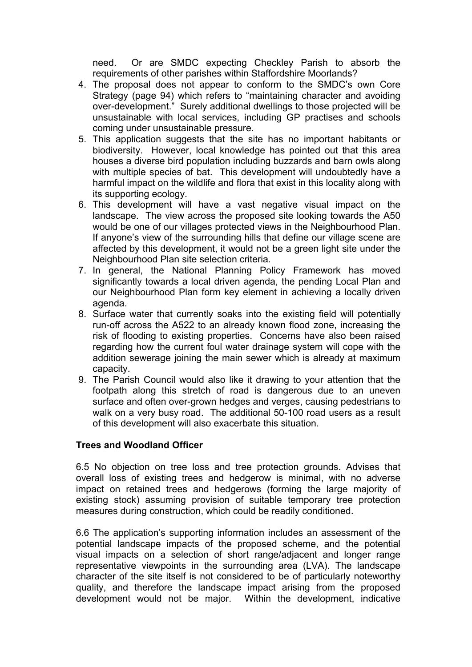need. Or are SMDC expecting Checkley Parish to absorb the requirements of other parishes within Staffordshire Moorlands?

- 4. The proposal does not appear to conform to the SMDC's own Core Strategy (page 94) which refers to "maintaining character and avoiding over-development." Surely additional dwellings to those projected will be unsustainable with local services, including GP practises and schools coming under unsustainable pressure.
- 5. This application suggests that the site has no important habitants or biodiversity. However, local knowledge has pointed out that this area houses a diverse bird population including buzzards and barn owls along with multiple species of bat. This development will undoubtedly have a harmful impact on the wildlife and flora that exist in this locality along with its supporting ecology.
- 6. This development will have a vast negative visual impact on the landscape. The view across the proposed site looking towards the A50 would be one of our villages protected views in the Neighbourhood Plan. If anyone's view of the surrounding hills that define our village scene are affected by this development, it would not be a green light site under the Neighbourhood Plan site selection criteria.
- 7. In general, the National Planning Policy Framework has moved significantly towards a local driven agenda, the pending Local Plan and our Neighbourhood Plan form key element in achieving a locally driven agenda.
- 8. Surface water that currently soaks into the existing field will potentially run-off across the A522 to an already known flood zone, increasing the risk of flooding to existing properties. Concerns have also been raised regarding how the current foul water drainage system will cope with the addition sewerage joining the main sewer which is already at maximum capacity.
- 9. The Parish Council would also like it drawing to your attention that the footpath along this stretch of road is dangerous due to an uneven surface and often over-grown hedges and verges, causing pedestrians to walk on a very busy road. The additional 50-100 road users as a result of this development will also exacerbate this situation.

### **Trees and Woodland Officer**

6.5 No objection on tree loss and tree protection grounds. Advises that overall loss of existing trees and hedgerow is minimal, with no adverse impact on retained trees and hedgerows (forming the large majority of existing stock) assuming provision of suitable temporary tree protection measures during construction, which could be readily conditioned.

6.6 The application's supporting information includes an assessment of the potential landscape impacts of the proposed scheme, and the potential visual impacts on a selection of short range/adjacent and longer range representative viewpoints in the surrounding area (LVA). The landscape character of the site itself is not considered to be of particularly noteworthy quality, and therefore the landscape impact arising from the proposed development would not be major. Within the development, indicative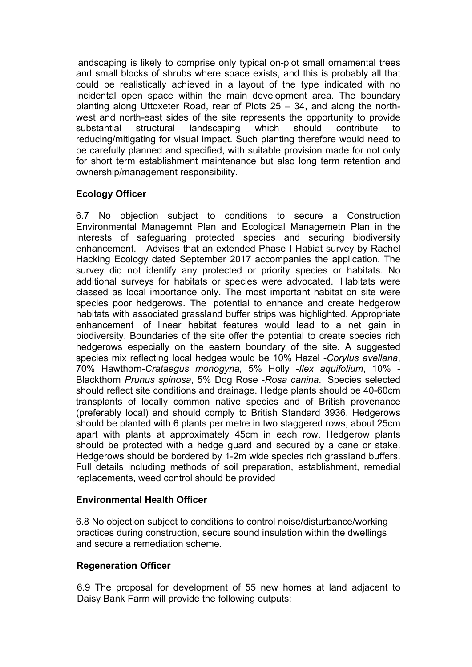landscaping is likely to comprise only typical on-plot small ornamental trees and small blocks of shrubs where space exists, and this is probably all that could be realistically achieved in a layout of the type indicated with no incidental open space within the main development area. The boundary planting along Uttoxeter Road, rear of Plots 25 – 34, and along the northwest and north-east sides of the site represents the opportunity to provide substantial structural landscaping which should contribute to reducing/mitigating for visual impact. Such planting therefore would need to be carefully planned and specified, with suitable provision made for not only for short term establishment maintenance but also long term retention and ownership/management responsibility.

## **Ecology Officer**

6.7 No objection subject to conditions to secure a Construction Environmental Managemnt Plan and Ecological Managemetn Plan in the interests of safeguaring protected species and securing biodiversity enhancement. Advises that an extended Phase I Habiat survey by Rachel Hacking Ecology dated September 2017 accompanies the application. The survey did not identify any protected or priority species or habitats. No additional surveys for habitats or species were advocated. Habitats were classed as local importance only. The most important habitat on site were species poor hedgerows. The potential to enhance and create hedgerow habitats with associated grassland buffer strips was highlighted. Appropriate enhancement of linear habitat features would lead to a net gain in biodiversity. Boundaries of the site offer the potential to create species rich hedgerows especially on the eastern boundary of the site. A suggested species mix reflecting local hedges would be 10% Hazel -*Corylus avellana*, 70% Hawthorn-*Crataegus monogyna,* 5% Holly -*Ilex aquifolium*, 10% - Blackthorn *Prunus spinosa*, 5% Dog Rose -*Rosa canina*. Species selected should reflect site conditions and drainage. Hedge plants should be 40-60cm transplants of locally common native species and of British provenance (preferably local) and should comply to British Standard 3936. Hedgerows should be planted with 6 plants per metre in two staggered rows, about 25cm apart with plants at approximately 45cm in each row. Hedgerow plants should be protected with a hedge guard and secured by a cane or stake. Hedgerows should be bordered by 1-2m wide species rich grassland buffers. Full details including methods of soil preparation, establishment, remedial replacements, weed control should be provided

### **Environmental Health Officer**

6.8 No objection subject to conditions to control noise/disturbance/working practices during construction, secure sound insulation within the dwellings and secure a remediation scheme.

## **Regeneration Officer**

6.9 The proposal for development of 55 new homes at land adjacent to Daisy Bank Farm will provide the following outputs: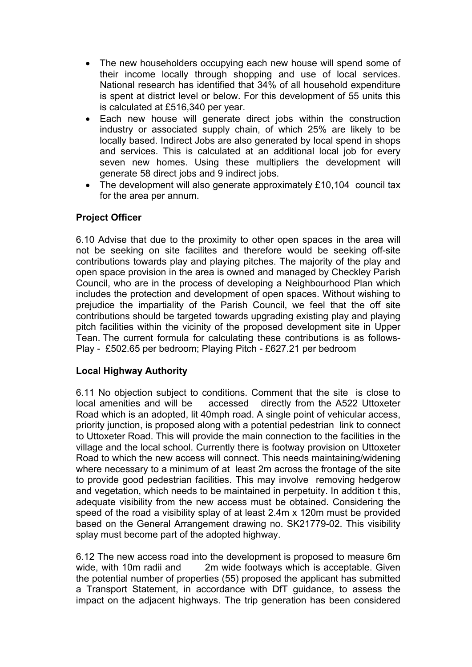- The new householders occupying each new house will spend some of their income locally through shopping and use of local services. National research has identified that 34% of all household expenditure is spent at district level or below. For this development of 55 units this is calculated at £516,340 per year.
- Each new house will generate direct jobs within the construction industry or associated supply chain, of which 25% are likely to be locally based. Indirect Jobs are also generated by local spend in shops and services. This is calculated at an additional local job for every seven new homes. Using these multipliers the development will generate 58 direct jobs and 9 indirect jobs.
- The development will also generate approximately £10,104 council tax for the area per annum.

## **Project Officer**

6.10 Advise that due to the proximity to other open spaces in the area will not be seeking on site facilites and therefore would be seeking off-site contributions towards play and playing pitches. The majority of the play and open space provision in the area is owned and managed by Checkley Parish Council, who are in the process of developing a Neighbourhood Plan which includes the protection and development of open spaces. Without wishing to prejudice the impartiality of the Parish Council, we feel that the off site contributions should be targeted towards upgrading existing play and playing pitch facilities within the vicinity of the proposed development site in Upper Tean. The current formula for calculating these contributions is as follows-Play - £502.65 per bedroom; Playing Pitch - £627.21 per bedroom

## **Local Highway Authority**

6.11 No objection subject to conditions. Comment that the site is close to local amenities and will be accessed directly from the A522 Uttoxeter Road which is an adopted, lit 40mph road. A single point of vehicular access, priority junction, is proposed along with a potential pedestrian link to connect to Uttoxeter Road. This will provide the main connection to the facilities in the village and the local school. Currently there is footway provision on Uttoxeter Road to which the new access will connect. This needs maintaining/widening where necessary to a minimum of at least 2m across the frontage of the site to provide good pedestrian facilities. This may involve removing hedgerow and vegetation, which needs to be maintained in perpetuity. In addition t this, adequate visibility from the new access must be obtained. Considering the speed of the road a visibility splay of at least 2.4m x 120m must be provided based on the General Arrangement drawing no. SK21779-02. This visibility splay must become part of the adopted highway.

6.12 The new access road into the development is proposed to measure 6m wide, with 10m radii and 2m wide footways which is acceptable. Given the potential number of properties (55) proposed the applicant has submitted a Transport Statement, in accordance with DfT guidance, to assess the impact on the adjacent highways. The trip generation has been considered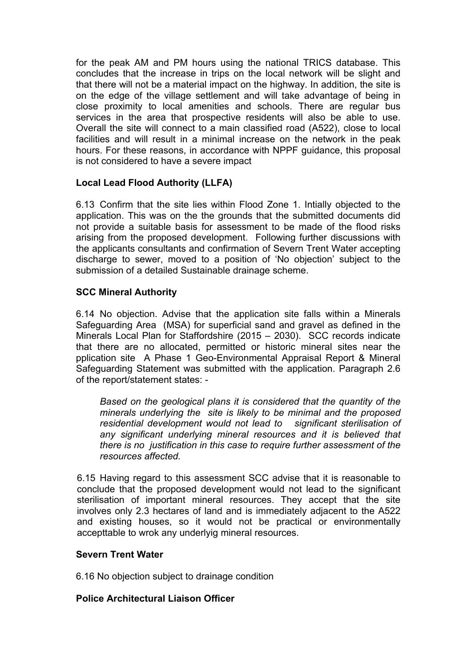for the peak AM and PM hours using the national TRICS database. This concludes that the increase in trips on the local network will be slight and that there will not be a material impact on the highway. In addition, the site is on the edge of the village settlement and will take advantage of being in close proximity to local amenities and schools. There are regular bus services in the area that prospective residents will also be able to use. Overall the site will connect to a main classified road (A522), close to local facilities and will result in a minimal increase on the network in the peak hours. For these reasons, in accordance with NPPF guidance, this proposal is not considered to have a severe impact

## **Local Lead Flood Authority (LLFA)**

6.13 Confirm that the site lies within Flood Zone 1. Intially objected to the application. This was on the the grounds that the submitted documents did not provide a suitable basis for assessment to be made of the flood risks arising from the proposed development. Following further discussions with the applicants consultants and confirmation of Severn Trent Water accepting discharge to sewer, moved to a position of 'No objection' subject to the submission of a detailed Sustainable drainage scheme.

### **SCC Mineral Authority**

6.14 No objection. Advise that the application site falls within a Minerals Safeguarding Area (MSA) for superficial sand and gravel as defined in the Minerals Local Plan for Staffordshire (2015 – 2030). SCC records indicate that there are no allocated, permitted or historic mineral sites near the pplication site A Phase 1 Geo-Environmental Appraisal Report & Mineral Safeguarding Statement was submitted with the application. Paragraph 2.6 of the report/statement states: -

*Based on the geological plans it is considered that the quantity of the minerals underlying the site is likely to be minimal and the proposed residential development would not lead to significant sterilisation of any significant underlying mineral resources and it is believed that there is no justification in this case to require further assessment of the resources affected.*

6.15 Having regard to this assessment SCC advise that it is reasonable to conclude that the proposed development would not lead to the significant sterilisation of important mineral resources. They accept that the site involves only 2.3 hectares of land and is immediately adjacent to the A522 and existing houses, so it would not be practical or environmentally accepttable to wrok any underlyig mineral resources.

### **Severn Trent Water**

6.16 No objection subject to drainage condition

### **Police Architectural Liaison Officer**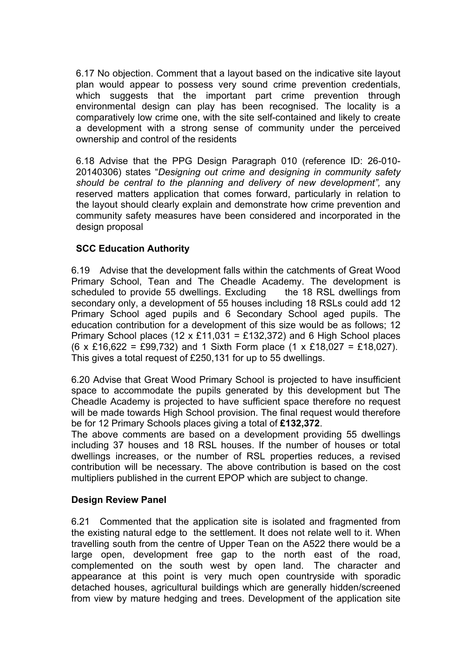6.17 No objection. Comment that a layout based on the indicative site layout plan would appear to possess very sound crime prevention credentials, which suggests that the important part crime prevention through environmental design can play has been recognised. The locality is a comparatively low crime one, with the site self-contained and likely to create a development with a strong sense of community under the perceived ownership and control of the residents

6.18 Advise that the PPG Design Paragraph 010 (reference ID: 26-010- 20140306) states "*Designing out crime and designing in community safety should be central to the planning and delivery of new development",* any reserved matters application that comes forward, particularly in relation to the layout should clearly explain and demonstrate how crime prevention and community safety measures have been considered and incorporated in the design proposal

## **SCC Education Authority**

6.19 Advise that the development falls within the catchments of Great Wood Primary School, Tean and The Cheadle Academy. The development is scheduled to provide 55 dwellings. Excluding the 18 RSL dwellings from secondary only, a development of 55 houses including 18 RSLs could add 12 Primary School aged pupils and 6 Secondary School aged pupils. The education contribution for a development of this size would be as follows; 12 Primary School places (12 x £11,031 = £132,372) and 6 High School places (6 x £16,622 = £99,732) and 1 Sixth Form place (1 x £18,027 = £18,027). This gives a total request of £250,131 for up to 55 dwellings.

6.20 Advise that Great Wood Primary School is projected to have insufficient space to accommodate the pupils generated by this development but The Cheadle Academy is projected to have sufficient space therefore no request will be made towards High School provision. The final request would therefore be for 12 Primary Schools places giving a total of **£132,372**.

The above comments are based on a development providing 55 dwellings including 37 houses and 18 RSL houses. If the number of houses or total dwellings increases, or the number of RSL properties reduces, a revised contribution will be necessary. The above contribution is based on the cost multipliers published in the current EPOP which are subject to change.

## **Design Review Panel**

6.21 Commented that the application site is isolated and fragmented from the existing natural edge to the settlement. It does not relate well to it. When travelling south from the centre of Upper Tean on the A522 there would be a large open, development free gap to the north east of the road, complemented on the south west by open land. The character and appearance at this point is very much open countryside with sporadic detached houses, agricultural buildings which are generally hidden/screened from view by mature hedging and trees. Development of the application site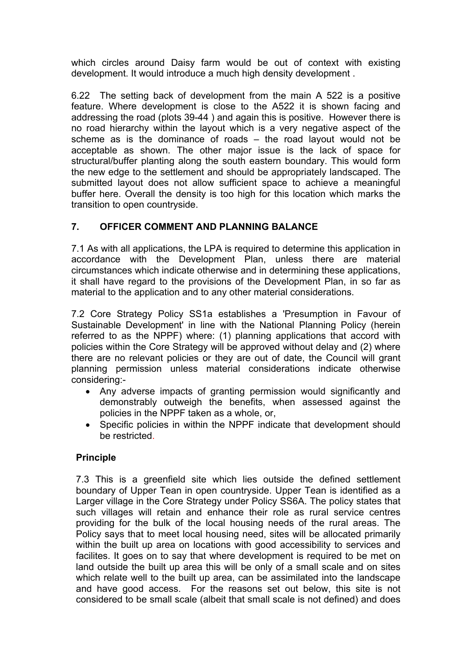which circles around Daisy farm would be out of context with existing development. It would introduce a much high density development .

6.22 The setting back of development from the main A 522 is a positive feature. Where development is close to the A522 it is shown facing and addressing the road (plots 39-44 ) and again this is positive. However there is no road hierarchy within the layout which is a very negative aspect of the scheme as is the dominance of roads – the road layout would not be acceptable as shown. The other major issue is the lack of space for structural/buffer planting along the south eastern boundary. This would form the new edge to the settlement and should be appropriately landscaped. The submitted layout does not allow sufficient space to achieve a meaningful buffer here. Overall the density is too high for this location which marks the transition to open countryside.

## **7. OFFICER COMMENT AND PLANNING BALANCE**

7.1 As with all applications, the LPA is required to determine this application in accordance with the Development Plan, unless there are material circumstances which indicate otherwise and in determining these applications, it shall have regard to the provisions of the Development Plan, in so far as material to the application and to any other material considerations.

7.2 Core Strategy Policy SS1a establishes a 'Presumption in Favour of Sustainable Development' in line with the National Planning Policy (herein referred to as the NPPF) where: (1) planning applications that accord with policies within the Core Strategy will be approved without delay and (2) where there are no relevant policies or they are out of date, the Council will grant planning permission unless material considerations indicate otherwise considering:-

- Any adverse impacts of granting permission would significantly and demonstrably outweigh the benefits, when assessed against the policies in the NPPF taken as a whole, or,
- Specific policies in within the NPPF indicate that development should be restricted.

## **Principle**

7.3 This is a greenfield site which lies outside the defined settlement boundary of Upper Tean in open countryside. Upper Tean is identified as a Larger village in the Core Strategy under Policy SS6A. The policy states that such villages will retain and enhance their role as rural service centres providing for the bulk of the local housing needs of the rural areas. The Policy says that to meet local housing need, sites will be allocated primarily within the built up area on locations with good accessibility to services and facilites. It goes on to say that where development is required to be met on land outside the built up area this will be only of a small scale and on sites which relate well to the built up area, can be assimilated into the landscape and have good access. For the reasons set out below, this site is not considered to be small scale (albeit that small scale is not defined) and does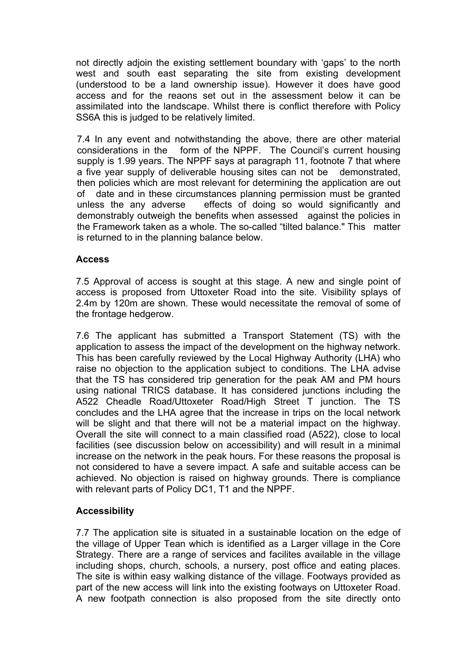not directly adjoin the existing settlement boundary with 'gaps' to the north west and south east separating the site from existing development (understood to be a land ownership issue). However it does have good access and for the reaons set out in the assessment below it can be assimilated into the landscape. Whilst there is conflict therefore with Policy SS6A this is judged to be relatively limited.

7.4 In any event and notwithstanding the above, there are other material considerations in the form of the NPPF. The Council's current housing supply is 1.99 years. The NPPF says at paragraph 11, footnote 7 that where a five year supply of deliverable housing sites can not be demonstrated, then policies which are most relevant for determining the application are out of date and in these circumstances planning permission must be granted unless the any adverse effects of doing so would significantly and demonstrably outweigh the benefits when assessed against the policies in the Framework taken as a whole. The so-called "tilted balance." This matter is returned to in the planning balance below.

### **Access**

7.5 Approval of access is sought at this stage. A new and single point of access is proposed from Uttoxeter Road into the site. Visibility splays of 2.4m by 120m are shown. These would necessitate the removal of some of the frontage hedgerow.

7.6 The applicant has submitted a Transport Statement (TS) with the application to assess the impact of the development on the highway network. This has been carefully reviewed by the Local Highway Authority (LHA) who raise no objection to the application subject to conditions. The LHA advise that the TS has considered trip generation for the peak AM and PM hours using national TRICS database. It has considered junctions including the A522 Cheadle Road/Uttoxeter Road/High Street T junction. The TS concludes and the LHA agree that the increase in trips on the local network will be slight and that there will not be a material impact on the highway. Overall the site will connect to a main classified road (A522), close to local facilities (see discussion below on accessibility) and will result in a minimal increase on the network in the peak hours. For these reasons the proposal is not considered to have a severe impact. A safe and suitable access can be achieved. No objection is raised on highway grounds. There is compliance with relevant parts of Policy DC1, T1 and the NPPF.

## **Accessibility**

7.7 The application site is situated in a sustainable location on the edge of the village of Upper Tean which is identified as a Larger village in the Core Strategy. There are a range of services and facilites available in the village including shops, church, schools, a nursery, post office and eating places. The site is within easy walking distance of the village. Footways provided as part of the new access will link into the existing footways on Uttoxeter Road. A new footpath connection is also proposed from the site directly onto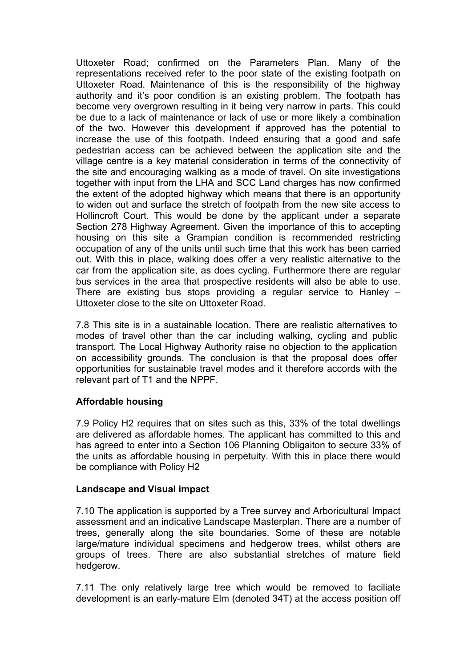Uttoxeter Road; confirmed on the Parameters Plan. Many of the representations received refer to the poor state of the existing footpath on Uttoxeter Road. Maintenance of this is the responsibility of the highway authority and it's poor condition is an existing problem. The footpath has become very overgrown resulting in it being very narrow in parts. This could be due to a lack of maintenance or lack of use or more likely a combination of the two. However this development if approved has the potential to increase the use of this footpath. Indeed ensuring that a good and safe pedestrian access can be achieved between the application site and the village centre is a key material consideration in terms of the connectivity of the site and encouraging walking as a mode of travel. On site investigations together with input from the LHA and SCC Land charges has now confirmed the extent of the adopted highway which means that there is an opportunity to widen out and surface the stretch of footpath from the new site access to Hollincroft Court. This would be done by the applicant under a separate Section 278 Highway Agreement. Given the importance of this to accepting housing on this site a Grampian condition is recommended restricting occupation of any of the units until such time that this work has been carried out. With this in place, walking does offer a very realistic alternative to the car from the application site, as does cycling. Furthermore there are regular bus services in the area that prospective residents will also be able to use. There are existing bus stops providing a regular service to Hanley – Uttoxeter close to the site on Uttoxeter Road.

7.8 This site is in a sustainable location. There are realistic alternatives to modes of travel other than the car including walking, cycling and public transport. The Local Highway Authority raise no objection to the application on accessibility grounds. The conclusion is that the proposal does offer opportunities for sustainable travel modes and it therefore accords with the relevant part of T1 and the NPPF.

### **Affordable housing**

7.9 Policy H2 requires that on sites such as this, 33% of the total dwellings are delivered as affordable homes. The applicant has committed to this and has agreed to enter into a Section 106 Planning Obligaiton to secure 33% of the units as affordable housing in perpetuity. With this in place there would be compliance with Policy H2

### **Landscape and Visual impact**

7.10 The application is supported by a Tree survey and Arboricultural Impact assessment and an indicative Landscape Masterplan. There are a number of trees, generally along the site boundaries. Some of these are notable large/mature individual specimens and hedgerow trees, whilst others are groups of trees. There are also substantial stretches of mature field hedgerow.

7.11 The only relatively large tree which would be removed to faciliate development is an early-mature Elm (denoted 34T) at the access position off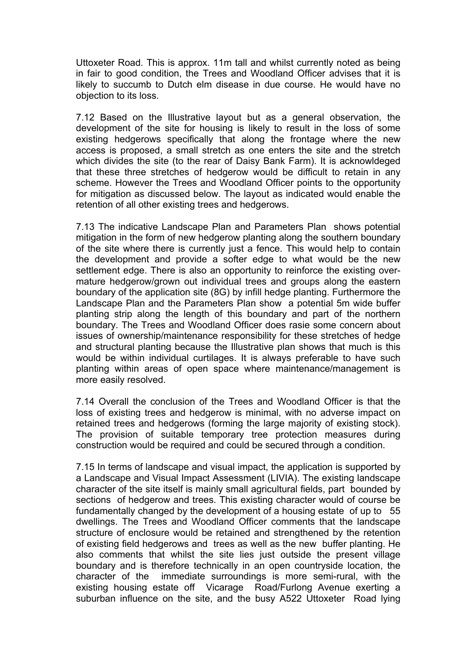Uttoxeter Road. This is approx. 11m tall and whilst currently noted as being in fair to good condition, the Trees and Woodland Officer advises that it is likely to succumb to Dutch elm disease in due course. He would have no objection to its loss.

7.12 Based on the Illustrative layout but as a general observation, the development of the site for housing is likely to result in the loss of some existing hedgerows specifically that along the frontage where the new access is proposed, a small stretch as one enters the site and the stretch which divides the site (to the rear of Daisy Bank Farm). It is acknowldeged that these three stretches of hedgerow would be difficult to retain in any scheme. However the Trees and Woodland Officer points to the opportunity for mitigation as discussed below. The layout as indicated would enable the retention of all other existing trees and hedgerows.

7.13 The indicative Landscape Plan and Parameters Plan shows potential mitigation in the form of new hedgerow planting along the southern boundary of the site where there is currently just a fence. This would help to contain the development and provide a softer edge to what would be the new settlement edge. There is also an opportunity to reinforce the existing overmature hedgerow/grown out individual trees and groups along the eastern boundary of the application site (8G) by infill hedge planting. Furthermore the Landscape Plan and the Parameters Plan show a potential 5m wide buffer planting strip along the length of this boundary and part of the northern boundary. The Trees and Woodland Officer does rasie some concern about issues of ownership/maintenance responsibility for these stretches of hedge and structural planting because the Illustrative plan shows that much is this would be within individual curtilages. It is always preferable to have such planting within areas of open space where maintenance/management is more easily resolved.

7.14 Overall the conclusion of the Trees and Woodland Officer is that the loss of existing trees and hedgerow is minimal, with no adverse impact on retained trees and hedgerows (forming the large majority of existing stock). The provision of suitable temporary tree protection measures during construction would be required and could be secured through a condition.

7.15 In terms of landscape and visual impact, the application is supported by a Landscape and Visual Impact Assessment (LIVIA). The existing landscape character of the site itself is mainly small agricultural fields, part bounded by sections of hedgerow and trees. This existing character would of course be fundamentally changed by the development of a housing estate of up to 55 dwellings. The Trees and Woodland Officer comments that the landscape structure of enclosure would be retained and strengthened by the retention of existing field hedgerows and trees as well as the new buffer planting. He also comments that whilst the site lies just outside the present village boundary and is therefore technically in an open countryside location, the character of the immediate surroundings is more semi-rural, with the existing housing estate off Vicarage Road/Furlong Avenue exerting a suburban influence on the site, and the busy A522 Uttoxeter Road lying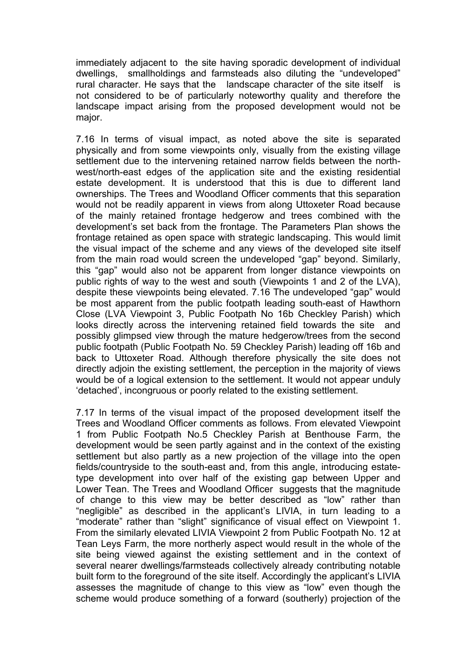immediately adjacent to the site having sporadic development of individual dwellings, smallholdings and farmsteads also diluting the "undeveloped" rural character. He says that the landscape character of the site itself is not considered to be of particularly noteworthy quality and therefore the landscape impact arising from the proposed development would not be major.

7.16 In terms of visual impact, as noted above the site is separated physically and from some viewpoints only, visually from the existing village settlement due to the intervening retained narrow fields between the northwest/north-east edges of the application site and the existing residential estate development. It is understood that this is due to different land ownerships. The Trees and Woodland Officer comments that this separation would not be readily apparent in views from along Uttoxeter Road because of the mainly retained frontage hedgerow and trees combined with the development's set back from the frontage. The Parameters Plan shows the frontage retained as open space with strategic landscaping. This would limit the visual impact of the scheme and any views of the developed site itself from the main road would screen the undeveloped "gap" beyond. Similarly, this "gap" would also not be apparent from longer distance viewpoints on public rights of way to the west and south (Viewpoints 1 and 2 of the LVA), despite these viewpoints being elevated. 7.16 The undeveloped "gap" would be most apparent from the public footpath leading south-east of Hawthorn Close (LVA Viewpoint 3, Public Footpath No 16b Checkley Parish) which looks directly across the intervening retained field towards the site and possibly glimpsed view through the mature hedgerow/trees from the second public footpath (Public Footpath No. 59 Checkley Parish) leading off 16b and back to Uttoxeter Road. Although therefore physically the site does not directly adjoin the existing settlement, the perception in the majority of views would be of a logical extension to the settlement. It would not appear unduly 'detached', incongruous or poorly related to the existing settlement.

7.17 In terms of the visual impact of the proposed development itself the Trees and Woodland Officer comments as follows. From elevated Viewpoint 1 from Public Footpath No.5 Checkley Parish at Benthouse Farm, the development would be seen partly against and in the context of the existing settlement but also partly as a new projection of the village into the open fields/countryside to the south-east and, from this angle, introducing estatetype development into over half of the existing gap between Upper and Lower Tean. The Trees and Woodland Officer suggests that the magnitude of change to this view may be better described as "low" rather than "negligible" as described in the applicant's LIVIA, in turn leading to a "moderate" rather than "slight" significance of visual effect on Viewpoint 1. From the similarly elevated LIVIA Viewpoint 2 from Public Footpath No. 12 at Tean Leys Farm, the more northerly aspect would result in the whole of the site being viewed against the existing settlement and in the context of several nearer dwellings/farmsteads collectively already contributing notable built form to the foreground of the site itself. Accordingly the applicant's LIVIA assesses the magnitude of change to this view as "low" even though the scheme would produce something of a forward (southerly) projection of the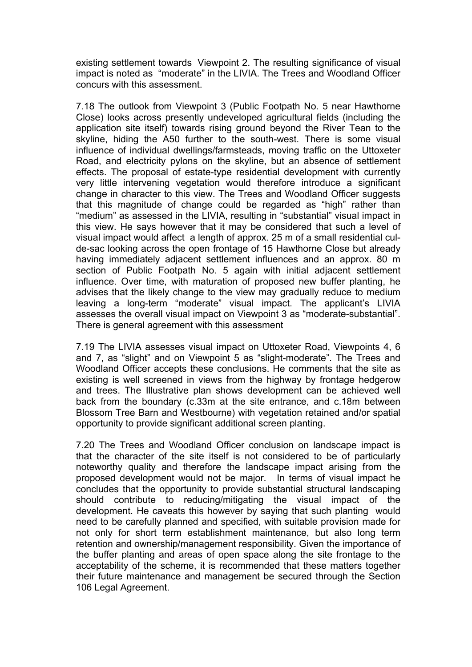existing settlement towards Viewpoint 2. The resulting significance of visual impact is noted as "moderate" in the LIVIA. The Trees and Woodland Officer concurs with this assessment.

7.18 The outlook from Viewpoint 3 (Public Footpath No. 5 near Hawthorne Close) looks across presently undeveloped agricultural fields (including the application site itself) towards rising ground beyond the River Tean to the skyline, hiding the A50 further to the south-west. There is some visual influence of individual dwellings/farmsteads, moving traffic on the Uttoxeter Road, and electricity pylons on the skyline, but an absence of settlement effects. The proposal of estate-type residential development with currently very little intervening vegetation would therefore introduce a significant change in character to this view. The Trees and Woodland Officer suggests that this magnitude of change could be regarded as "high" rather than "medium" as assessed in the LIVIA, resulting in "substantial" visual impact in this view. He says however that it may be considered that such a level of visual impact would affect a length of approx. 25 m of a small residential culde-sac looking across the open frontage of 15 Hawthorne Close but already having immediately adjacent settlement influences and an approx. 80 m section of Public Footpath No. 5 again with initial adjacent settlement influence. Over time, with maturation of proposed new buffer planting, he advises that the likely change to the view may gradually reduce to medium leaving a long-term "moderate" visual impact. The applicant's LIVIA assesses the overall visual impact on Viewpoint 3 as "moderate-substantial". There is general agreement with this assessment

7.19 The LIVIA assesses visual impact on Uttoxeter Road, Viewpoints 4, 6 and 7, as "slight" and on Viewpoint 5 as "slight-moderate". The Trees and Woodland Officer accepts these conclusions. He comments that the site as existing is well screened in views from the highway by frontage hedgerow and trees. The Illustrative plan shows development can be achieved well back from the boundary (c.33m at the site entrance, and c.18m between Blossom Tree Barn and Westbourne) with vegetation retained and/or spatial opportunity to provide significant additional screen planting.

7.20 The Trees and Woodland Officer conclusion on landscape impact is that the character of the site itself is not considered to be of particularly noteworthy quality and therefore the landscape impact arising from the proposed development would not be major. In terms of visual impact he concludes that the opportunity to provide substantial structural landscaping should contribute to reducing/mitigating the visual impact of the development. He caveats this however by saying that such planting would need to be carefully planned and specified, with suitable provision made for not only for short term establishment maintenance, but also long term retention and ownership/management responsibility. Given the importance of the buffer planting and areas of open space along the site frontage to the acceptability of the scheme, it is recommended that these matters together their future maintenance and management be secured through the Section 106 Legal Agreement.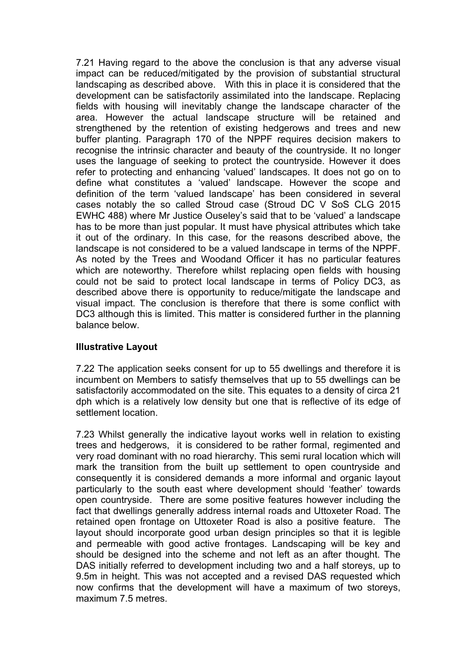7.21 Having regard to the above the conclusion is that any adverse visual impact can be reduced/mitigated by the provision of substantial structural landscaping as described above. With this in place it is considered that the development can be satisfactorily assimilated into the landscape. Replacing fields with housing will inevitably change the landscape character of the area. However the actual landscape structure will be retained and strengthened by the retention of existing hedgerows and trees and new buffer planting. Paragraph 170 of the NPPF requires decision makers to recognise the intrinsic character and beauty of the countryside. It no longer uses the language of seeking to protect the countryside. However it does refer to protecting and enhancing 'valued' landscapes. It does not go on to define what constitutes a 'valued' landscape. However the scope and definition of the term 'valued landscape' has been considered in several cases notably the so called Stroud case (Stroud DC V SoS CLG 2015 EWHC 488) where Mr Justice Ouseley's said that to be 'valued' a landscape has to be more than just popular. It must have physical attributes which take it out of the ordinary. In this case, for the reasons described above, the landscape is not considered to be a valued landscape in terms of the NPPF. As noted by the Trees and Woodand Officer it has no particular features which are noteworthy. Therefore whilst replacing open fields with housing could not be said to protect local landscape in terms of Policy DC3, as described above there is opportunity to reduce/mitigate the landscape and visual impact. The conclusion is therefore that there is some conflict with DC3 although this is limited. This matter is considered further in the planning balance below.

### **Illustrative Layout**

7.22 The application seeks consent for up to 55 dwellings and therefore it is incumbent on Members to satisfy themselves that up to 55 dwellings can be satisfactorily accommodated on the site. This equates to a density of circa 21 dph which is a relatively low density but one that is reflective of its edge of settlement location.

7.23 Whilst generally the indicative layout works well in relation to existing trees and hedgerows, it is considered to be rather formal, regimented and very road dominant with no road hierarchy. This semi rural location which will mark the transition from the built up settlement to open countryside and consequently it is considered demands a more informal and organic layout particularly to the south east where development should 'feather' towards open countryside. There are some positive features however including the fact that dwellings generally address internal roads and Uttoxeter Road. The retained open frontage on Uttoxeter Road is also a positive feature. The layout should incorporate good urban design principles so that it is legible and permeable with good active frontages. Landscaping will be key and should be designed into the scheme and not left as an after thought. The DAS initially referred to development including two and a half storeys, up to 9.5m in height. This was not accepted and a revised DAS requested which now confirms that the development will have a maximum of two storeys, maximum 7.5 metres.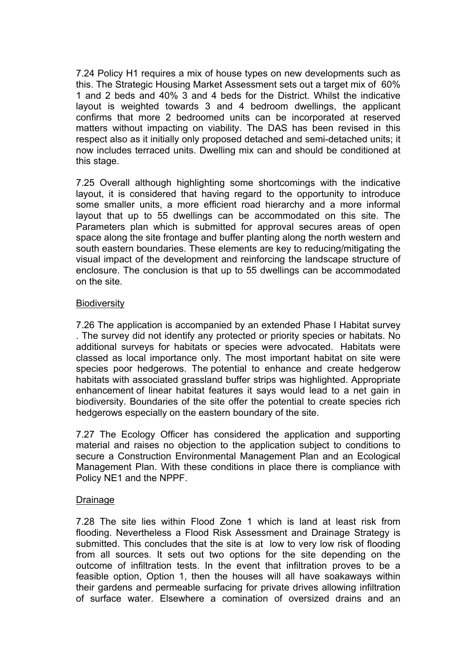7.24 Policy H1 requires a mix of house types on new developments such as this. The Strategic Housing Market Assessment sets out a target mix of 60% 1 and 2 beds and 40% 3 and 4 beds for the District. Whilst the indicative layout is weighted towards 3 and 4 bedroom dwellings, the applicant confirms that more 2 bedroomed units can be incorporated at reserved matters without impacting on viability. The DAS has been revised in this respect also as it initially only proposed detached and semi-detached units; it now includes terraced units. Dwelling mix can and should be conditioned at this stage.

7.25 Overall although highlighting some shortcomings with the indicative layout, it is considered that having regard to the opportunity to introduce some smaller units, a more efficient road hierarchy and a more informal layout that up to 55 dwellings can be accommodated on this site. The Parameters plan which is submitted for approval secures areas of open space along the site frontage and buffer planting along the north western and south eastern boundaries. These elements are key to reducing/mitigating the visual impact of the development and reinforcing the landscape structure of enclosure. The conclusion is that up to 55 dwellings can be accommodated on the site.

### **Biodiversity**

7.26 The application is accompanied by an extended Phase I Habitat survey . The survey did not identify any protected or priority species or habitats. No additional surveys for habitats or species were advocated. Habitats were classed as local importance only. The most important habitat on site were species poor hedgerows. The potential to enhance and create hedgerow habitats with associated grassland buffer strips was highlighted. Appropriate enhancement of linear habitat features it says would lead to a net gain in biodiversity. Boundaries of the site offer the potential to create species rich hedgerows especially on the eastern boundary of the site.

7.27 The Ecology Officer has considered the application and supporting material and raises no objection to the application subject to conditions to secure a Construction Environmental Management Plan and an Ecological Management Plan. With these conditions in place there is compliance with Policy NE1 and the NPPF.

#### Drainage

7.28 The site lies within Flood Zone 1 which is land at least risk from flooding. Nevertheless a Flood Risk Assessment and Drainage Strategy is submitted. This concludes that the site is at low to very low risk of flooding from all sources. It sets out two options for the site depending on the outcome of infiltration tests. In the event that infiltration proves to be a feasible option, Option 1, then the houses will all have soakaways within their gardens and permeable surfacing for private drives allowing infiltration of surface water. Elsewhere a comination of oversized drains and an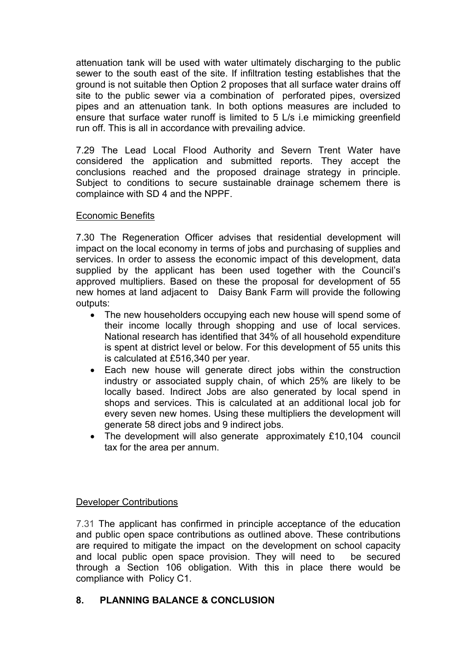attenuation tank will be used with water ultimately discharging to the public sewer to the south east of the site. If infiltration testing establishes that the ground is not suitable then Option 2 proposes that all surface water drains off site to the public sewer via a combination of perforated pipes, oversized pipes and an attenuation tank. In both options measures are included to ensure that surface water runoff is limited to 5 L/s i.e mimicking greenfield run off. This is all in accordance with prevailing advice.

7.29 The Lead Local Flood Authority and Severn Trent Water have considered the application and submitted reports. They accept the conclusions reached and the proposed drainage strategy in principle. Subject to conditions to secure sustainable drainage schemem there is complaince with SD 4 and the NPPF.

### Economic Benefits

7.30 The Regeneration Officer advises that residential development will impact on the local economy in terms of jobs and purchasing of supplies and services. In order to assess the economic impact of this development, data supplied by the applicant has been used together with the Council's approved multipliers. Based on these the proposal for development of 55 new homes at land adjacent to Daisy Bank Farm will provide the following outputs:

- The new householders occupying each new house will spend some of their income locally through shopping and use of local services. National research has identified that 34% of all household expenditure is spent at district level or below. For this development of 55 units this is calculated at £516,340 per year.
- Each new house will generate direct jobs within the construction industry or associated supply chain, of which 25% are likely to be locally based. Indirect Jobs are also generated by local spend in shops and services. This is calculated at an additional local job for every seven new homes. Using these multipliers the development will generate 58 direct jobs and 9 indirect jobs.
- The development will also generate approximately £10,104 council tax for the area per annum.

## Developer Contributions

7.31 The applicant has confirmed in principle acceptance of the education and public open space contributions as outlined above. These contributions are required to mitigate the impact on the development on school capacity and local public open space provision. They will need to be secured through a Section 106 obligation. With this in place there would be compliance with Policy C1.

## **8. PLANNING BALANCE & CONCLUSION**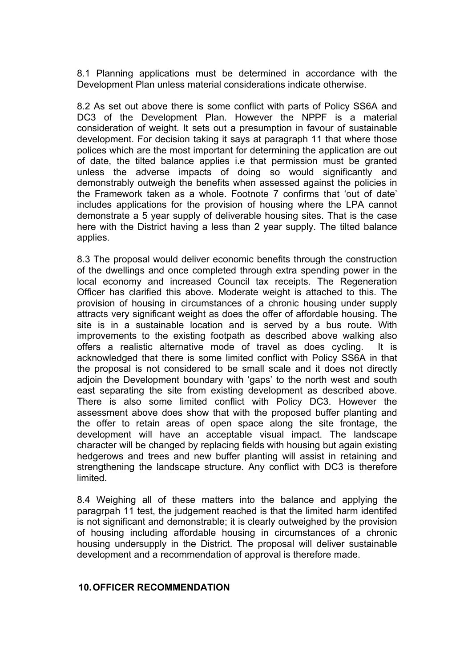8.1 Planning applications must be determined in accordance with the Development Plan unless material considerations indicate otherwise.

8.2 As set out above there is some conflict with parts of Policy SS6A and DC3 of the Development Plan. However the NPPF is a material consideration of weight. It sets out a presumption in favour of sustainable development. For decision taking it says at paragraph 11 that where those polices which are the most important for determining the application are out of date, the tilted balance applies i.e that permission must be granted unless the adverse impacts of doing so would significantly and demonstrably outweigh the benefits when assessed against the policies in the Framework taken as a whole. Footnote 7 confirms that 'out of date' includes applications for the provision of housing where the LPA cannot demonstrate a 5 year supply of deliverable housing sites. That is the case here with the District having a less than 2 year supply. The tilted balance applies.

8.3 The proposal would deliver economic benefits through the construction of the dwellings and once completed through extra spending power in the local economy and increased Council tax receipts. The Regeneration Officer has clarified this above. Moderate weight is attached to this. The provision of housing in circumstances of a chronic housing under supply attracts very significant weight as does the offer of affordable housing. The site is in a sustainable location and is served by a bus route. With improvements to the existing footpath as described above walking also offers a realistic alternative mode of travel as does cycling. It is acknowledged that there is some limited conflict with Policy SS6A in that the proposal is not considered to be small scale and it does not directly adjoin the Development boundary with 'gaps' to the north west and south east separating the site from existing development as described above. There is also some limited conflict with Policy DC3. However the assessment above does show that with the proposed buffer planting and the offer to retain areas of open space along the site frontage, the development will have an acceptable visual impact. The landscape character will be changed by replacing fields with housing but again existing hedgerows and trees and new buffer planting will assist in retaining and strengthening the landscape structure. Any conflict with DC3 is therefore limited.

8.4 Weighing all of these matters into the balance and applying the paragrpah 11 test, the judgement reached is that the limited harm identifed is not significant and demonstrable; it is clearly outweighed by the provision of housing including affordable housing in circumstances of a chronic housing undersupply in the District. The proposal will deliver sustainable development and a recommendation of approval is therefore made.

#### **10.OFFICER RECOMMENDATION**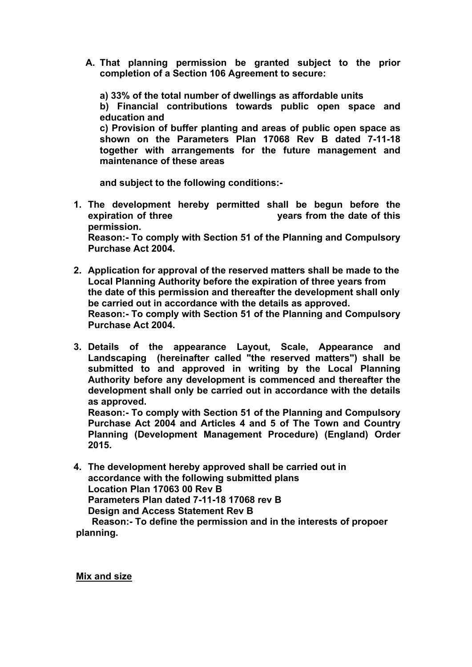**A. That planning permission be granted subject to the prior completion of a Section 106 Agreement to secure:**

**a) 33% of the total number of dwellings as affordable units b) Financial contributions towards public open space and education and c) Provision of buffer planting and areas of public open space as shown on the Parameters Plan 17068 Rev B dated 7-11-18 together with arrangements for the future management and maintenance of these areas**

**and subject to the following conditions:-**

- **1. The development hereby permitted shall be begun before the expiration of three years from the date of this permission. Reason:- To comply with Section 51 of the Planning and Compulsory Purchase Act 2004.**
- **2. Application for approval of the reserved matters shall be made to the Local Planning Authority before the expiration of three years from the date of this permission and thereafter the development shall only be carried out in accordance with the details as approved. Reason:- To comply with Section 51 of the Planning and Compulsory Purchase Act 2004.**
- **3. Details of the appearance Layout, Scale, Appearance and Landscaping (hereinafter called "the reserved matters") shall be submitted to and approved in writing by the Local Planning Authority before any development is commenced and thereafter the development shall only be carried out in accordance with the details as approved.**

**Reason:- To comply with Section 51 of the Planning and Compulsory Purchase Act 2004 and Articles 4 and 5 of The Town and Country Planning (Development Management Procedure) (England) Order 2015.**

**4. The development hereby approved shall be carried out in accordance with the following submitted plans Location Plan 17063 00 Rev B Parameters Plan dated 7-11-18 17068 rev B Design and Access Statement Rev B Reason:- To define the permission and in the interests of propoer**

**planning.**

**Mix and size**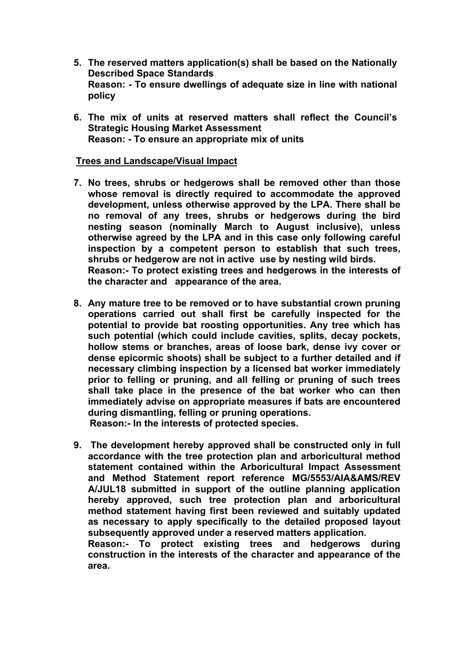- **5. The reserved matters application(s) shall be based on the Nationally Described Space Standards Reason: - To ensure dwellings of adequate size in line with national policy**
- **6. The mix of units at reserved matters shall reflect the Council's Strategic Housing Market Assessment Reason: - To ensure an appropriate mix of units**

#### **Trees and Landscape/Visual Impact**

- **7. No trees, shrubs or hedgerows shall be removed other than those whose removal is directly required to accommodate the approved development, unless otherwise approved by the LPA. There shall be no removal of any trees, shrubs or hedgerows during the bird nesting season (nominally March to August inclusive), unless otherwise agreed by the LPA and in this case only following careful inspection by a competent person to establish that such trees, shrubs or hedgerow are not in active use by nesting wild birds. Reason:- To protect existing trees and hedgerows in the interests of the character and appearance of the area.**
- **8. Any mature tree to be removed or to have substantial crown pruning operations carried out shall first be carefully inspected for the potential to provide bat roosting opportunities. Any tree which has such potential (which could include cavities, splits, decay pockets, hollow stems or branches, areas of loose bark, dense ivy cover or dense epicormic shoots) shall be subject to a further detailed and if necessary climbing inspection by a licensed bat worker immediately prior to felling or pruning, and all felling or pruning of such trees shall take place in the presence of the bat worker who can then immediately advise on appropriate measures if bats are encountered during dismantling, felling or pruning operations. Reason:- In the interests of protected species.**
- **9. The development hereby approved shall be constructed only in full accordance with the tree protection plan and arboricultural method statement contained within the Arboricultural Impact Assessment and Method Statement report reference MG/5553/AIA&AMS/REV A/JUL18 submitted in support of the outline planning application hereby approved, such tree protection plan and arboricultural method statement having first been reviewed and suitably updated as necessary to apply specifically to the detailed proposed layout subsequently approved under a reserved matters application. Reason:- To protect existing trees and hedgerows during**

**construction in the interests of the character and appearance of the area.**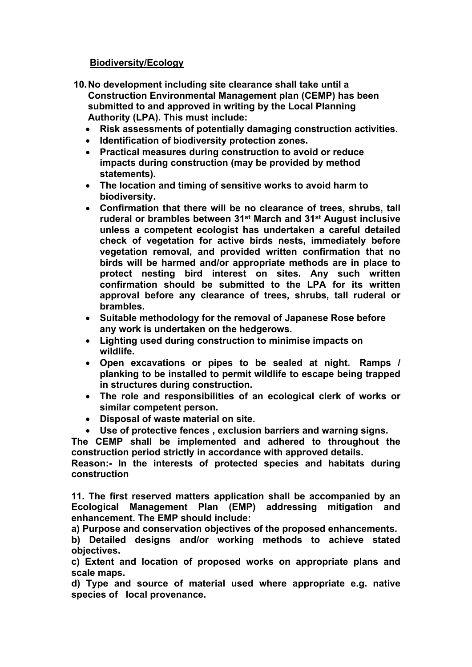### **Biodiversity/Ecology**

- **10.No development including site clearance shall take until a Construction Environmental Management plan (CEMP) has been submitted to and approved in writing by the Local Planning Authority (LPA). This must include:**
	- **Risk assessments of potentially damaging construction activities.**
	- **Identification of biodiversity protection zones.**
	- **Practical measures during construction to avoid or reduce impacts during construction (may be provided by method statements).**
	- **The location and timing of sensitive works to avoid harm to biodiversity.**
	- **Confirmation that there will be no clearance of trees, shrubs, tall ruderal or brambles between 31st March and 31st August inclusive unless a competent ecologist has undertaken a careful detailed check of vegetation for active birds nests, immediately before vegetation removal, and provided written confirmation that no birds will be harmed and/or appropriate methods are in place to protect nesting bird interest on sites. Any such written confirmation should be submitted to the LPA for its written approval before any clearance of trees, shrubs, tall ruderal or brambles.**
	- **Suitable methodology for the removal of Japanese Rose before any work is undertaken on the hedgerows.**
	- **Lighting used during construction to minimise impacts on wildlife.**
	- **Open excavations or pipes to be sealed at night. Ramps / planking to be installed to permit wildlife to escape being trapped in structures during construction.**
	- **The role and responsibilities of an ecological clerk of works or similar competent person.**
	- **Disposal of waste material on site.**
	- **Use of protective fences , exclusion barriers and warning signs.**

**The CEMP shall be implemented and adhered to throughout the construction period strictly in accordance with approved details.**

**Reason:- In the interests of protected species and habitats during construction**

**11. The first reserved matters application shall be accompanied by an Ecological Management Plan (EMP) addressing mitigation and enhancement. The EMP should include:**

**a) Purpose and conservation objectives of the proposed enhancements.**

**b) Detailed designs and/or working methods to achieve stated objectives.**

**c) Extent and location of proposed works on appropriate plans and scale maps.**

**d) Type and source of material used where appropriate e.g. native species of local provenance.**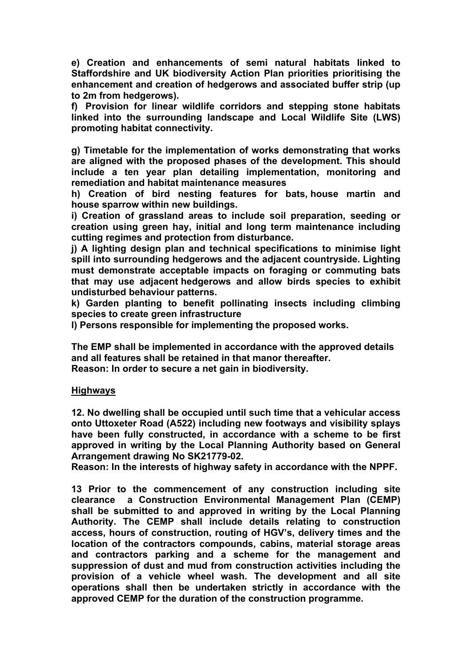**e) Creation and enhancements of semi natural habitats linked to Staffordshire and UK biodiversity Action Plan priorities prioritising the enhancement and creation of hedgerows and associated buffer strip (up to 2m from hedgerows).**

**f) Provision for linear wildlife corridors and stepping stone habitats linked into the surrounding landscape and Local Wildlife Site (LWS) promoting habitat connectivity.**

**g) Timetable for the implementation of works demonstrating that works are aligned with the proposed phases of the development. This should include a ten year plan detailing implementation, monitoring and remediation and habitat maintenance measures**

**h) Creation of bird nesting features for bats, house martin and house sparrow within new buildings.**

**i) Creation of grassland areas to include soil preparation, seeding or creation using green hay, initial and long term maintenance including cutting regimes and protection from disturbance.**

**j) A lighting design plan and technical specifications to minimise light spill into surrounding hedgerows and the adjacent countryside. Lighting must demonstrate acceptable impacts on foraging or commuting bats that may use adjacent hedgerows and allow birds species to exhibit undisturbed behaviour patterns.**

**k) Garden planting to benefit pollinating insects including climbing species to create green infrastructure**

**l) Persons responsible for implementing the proposed works.**

**The EMP shall be implemented in accordance with the approved details and all features shall be retained in that manor thereafter.**

**Reason: In order to secure a net gain in biodiversity.** 

### **Highways**

**12. No dwelling shall be occupied until such time that a vehicular access onto Uttoxeter Road (A522) including new footways and visibility splays have been fully constructed, in accordance with a scheme to be first approved in writing by the Local Planning Authority based on General Arrangement drawing No SK21779-02.**

**Reason: In the interests of highway safety in accordance with the NPPF.**

**13 Prior to the commencement of any construction including site clearance a Construction Environmental Management Plan (CEMP) shall be submitted to and approved in writing by the Local Planning Authority. The CEMP shall include details relating to construction access, hours of construction, routing of HGV's, delivery times and the location of the contractors compounds, cabins, material storage areas and contractors parking and a scheme for the management and suppression of dust and mud from construction activities including the provision of a vehicle wheel wash. The development and all site operations shall then be undertaken strictly in accordance with the approved CEMP for the duration of the construction programme.**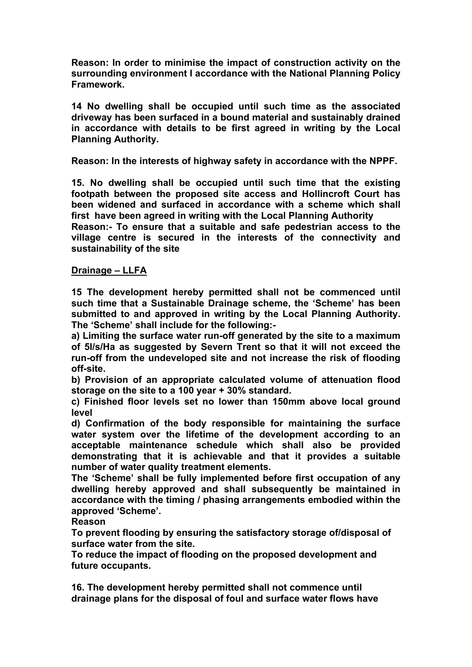**Reason: In order to minimise the impact of construction activity on the surrounding environment I accordance with the National Planning Policy Framework.**

**14 No dwelling shall be occupied until such time as the associated driveway has been surfaced in a bound material and sustainably drained in accordance with details to be first agreed in writing by the Local Planning Authority.**

**Reason: In the interests of highway safety in accordance with the NPPF.**

**15. No dwelling shall be occupied until such time that the existing footpath between the proposed site access and Hollincroft Court has been widened and surfaced in accordance with a scheme which shall first have been agreed in writing with the Local Planning Authority**

**Reason:- To ensure that a suitable and safe pedestrian access to the village centre is secured in the interests of the connectivity and sustainability of the site**

### **Drainage – LLFA**

**15 The development hereby permitted shall not be commenced until such time that a Sustainable Drainage scheme, the 'Scheme' has been submitted to and approved in writing by the Local Planning Authority. The 'Scheme' shall include for the following:-**

**a) Limiting the surface water run-off generated by the site to a maximum of 5l/s/Ha as suggested by Severn Trent so that it will not exceed the run-off from the undeveloped site and not increase the risk of flooding off-site.**

**b) Provision of an appropriate calculated volume of attenuation flood storage on the site to a 100 year + 30% standard.**

**c) Finished floor levels set no lower than 150mm above local ground level**

**d) Confirmation of the body responsible for maintaining the surface water system over the lifetime of the development according to an acceptable maintenance schedule which shall also be provided demonstrating that it is achievable and that it provides a suitable number of water quality treatment elements.**

**The 'Scheme' shall be fully implemented before first occupation of any dwelling hereby approved and shall subsequently be maintained in accordance with the timing / phasing arrangements embodied within the approved 'Scheme'.** 

### **Reason**

**To prevent flooding by ensuring the satisfactory storage of/disposal of surface water from the site.**

**To reduce the impact of flooding on the proposed development and future occupants.**

**16. The development hereby permitted shall not commence until drainage plans for the disposal of foul and surface water flows have**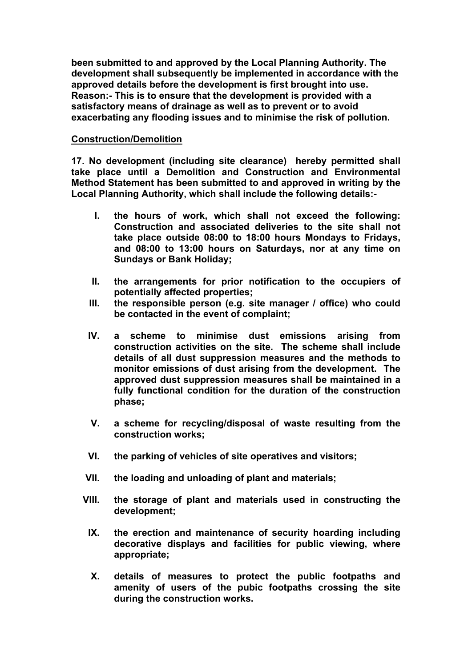**been submitted to and approved by the Local Planning Authority. The development shall subsequently be implemented in accordance with the approved details before the development is first brought into use. Reason:- This is to ensure that the development is provided with a satisfactory means of drainage as well as to prevent or to avoid exacerbating any flooding issues and to minimise the risk of pollution.**

#### **Construction/Demolition**

**17. No development (including site clearance) hereby permitted shall take place until a Demolition and Construction and Environmental Method Statement has been submitted to and approved in writing by the Local Planning Authority, which shall include the following details:-**

- **I. the hours of work, which shall not exceed the following: Construction and associated deliveries to the site shall not take place outside 08:00 to 18:00 hours Mondays to Fridays, and 08:00 to 13:00 hours on Saturdays, nor at any time on Sundays or Bank Holiday;**
- **II. the arrangements for prior notification to the occupiers of potentially affected properties;**
- **III. the responsible person (e.g. site manager / office) who could be contacted in the event of complaint;**
- **IV. a scheme to minimise dust emissions arising from construction activities on the site. The scheme shall include details of all dust suppression measures and the methods to monitor emissions of dust arising from the development. The approved dust suppression measures shall be maintained in a fully functional condition for the duration of the construction phase;**
- **V. a scheme for recycling/disposal of waste resulting from the construction works;**
- **VI. the parking of vehicles of site operatives and visitors;**
- **VII. the loading and unloading of plant and materials;**
- **VIII. the storage of plant and materials used in constructing the development;**
- **IX. the erection and maintenance of security hoarding including decorative displays and facilities for public viewing, where appropriate;**
- **X. details of measures to protect the public footpaths and amenity of users of the pubic footpaths crossing the site during the construction works.**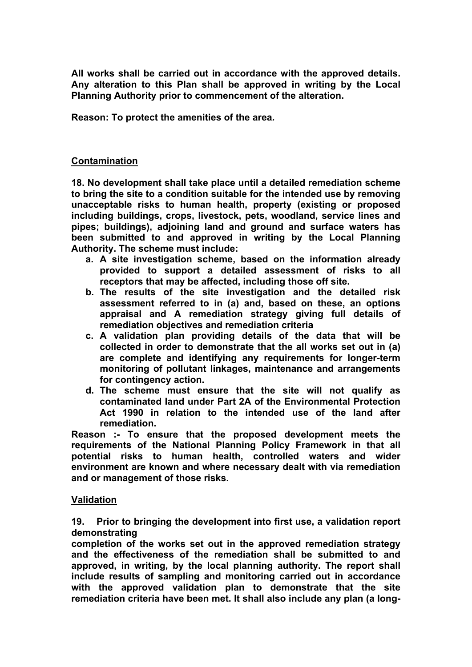**All works shall be carried out in accordance with the approved details. Any alteration to this Plan shall be approved in writing by the Local Planning Authority prior to commencement of the alteration.**

**Reason: To protect the amenities of the area***.*

#### **Contamination**

**18. No development shall take place until a detailed remediation scheme to bring the site to a condition suitable for the intended use by removing unacceptable risks to human health, property (existing or proposed including buildings, crops, livestock, pets, woodland, service lines and pipes; buildings), adjoining land and ground and surface waters has been submitted to and approved in writing by the Local Planning Authority. The scheme must include:**

- **a. A site investigation scheme, based on the information already provided to support a detailed assessment of risks to all receptors that may be affected, including those off site.**
- **b. The results of the site investigation and the detailed risk assessment referred to in (a) and, based on these, an options appraisal and A remediation strategy giving full details of remediation objectives and remediation criteria**
- **c. A validation plan providing details of the data that will be collected in order to demonstrate that the all works set out in (a) are complete and identifying any requirements for longer-term monitoring of pollutant linkages, maintenance and arrangements for contingency action.**
- **d. The scheme must ensure that the site will not qualify as contaminated land under Part 2A of the Environmental Protection Act 1990 in relation to the intended use of the land after remediation.**

**Reason :- To ensure that the proposed development meets the requirements of the National Planning Policy Framework in that all potential risks to human health, controlled waters and wider environment are known and where necessary dealt with via remediation and or management of those risks.**

#### **Validation**

**19. Prior to bringing the development into first use, a validation report demonstrating**

**completion of the works set out in the approved remediation strategy and the effectiveness of the remediation shall be submitted to and approved, in writing, by the local planning authority. The report shall include results of sampling and monitoring carried out in accordance with the approved validation plan to demonstrate that the site remediation criteria have been met. It shall also include any plan (a long-**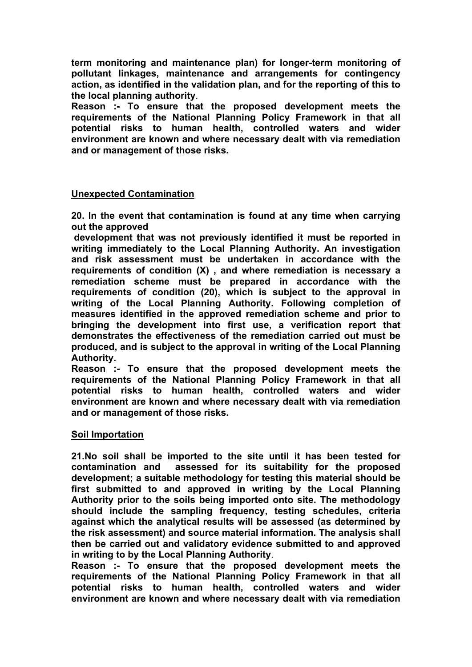**term monitoring and maintenance plan) for longer-term monitoring of pollutant linkages, maintenance and arrangements for contingency action, as identified in the validation plan, and for the reporting of this to the local planning authority**.

**Reason :- To ensure that the proposed development meets the requirements of the National Planning Policy Framework in that all potential risks to human health, controlled waters and wider environment are known and where necessary dealt with via remediation and or management of those risks.**

#### **Unexpected Contamination**

**20. In the event that contamination is found at any time when carrying out the approved**

**development that was not previously identified it must be reported in writing immediately to the Local Planning Authority. An investigation and risk assessment must be undertaken in accordance with the requirements of condition (X) , and where remediation is necessary a remediation scheme must be prepared in accordance with the requirements of condition (20), which is subject to the approval in writing of the Local Planning Authority. Following completion of measures identified in the approved remediation scheme and prior to bringing the development into first use, a verification report that demonstrates the effectiveness of the remediation carried out must be produced, and is subject to the approval in writing of the Local Planning Authority.**

**Reason :- To ensure that the proposed development meets the requirements of the National Planning Policy Framework in that all potential risks to human health, controlled waters and wider environment are known and where necessary dealt with via remediation and or management of those risks.**

### **Soil Importation**

**21.No soil shall be imported to the site until it has been tested for contamination and assessed for its suitability for the proposed development; a suitable methodology for testing this material should be first submitted to and approved in writing by the Local Planning Authority prior to the soils being imported onto site. The methodology should include the sampling frequency, testing schedules, criteria against which the analytical results will be assessed (as determined by the risk assessment) and source material information. The analysis shall then be carried out and validatory evidence submitted to and approved in writing to by the Local Planning Authority**.

**Reason :- To ensure that the proposed development meets the requirements of the National Planning Policy Framework in that all potential risks to human health, controlled waters and wider environment are known and where necessary dealt with via remediation**